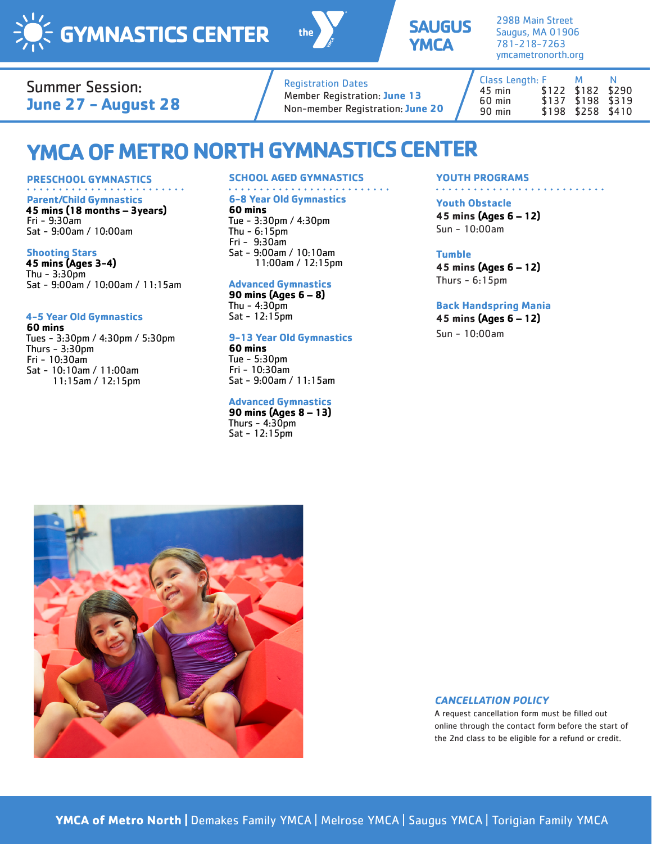





298B Main Street Saugus, MA 01906 781-218-7263 ymcametronorth.org

### Summer Session: **June 27 - August 28**

### Registration Dates Member Registration: **June 13** Non-member Registration: **June 20**

Class Length: F M N 45 min \$122 \$182 \$290 60 min<br>90 min \$198 \$258 \$410

# **YMCA OF METRO NORTH GYMNASTICS CENTER**

#### **PRESCHOOL GYMNASTICS**

**Parent/Child Gymnastics 45 mins (18 months – 3years)** Fri - 9:30am Sat - 9:00am / 10:00am

#### **Shooting Stars**

**45 mins (Ages 3-4)** Thu - 3:30pm Sat - 9:00am / 10:00am / 11:15am

#### **4-5 Year Old Gymnastics**

**60 mins** Tues - 3:30pm / 4:30pm / 5:30pm Thurs  $-3:30$ pm Fri - 10:30am Sat - 10:10am / 11:00am 11:15am / 12:15pm

#### **SCHOOL AGED GYMNASTICS**

#### **6-8 Year Old Gymnastics**

#### **60 mins**

Tue - 3:30pm / 4:30pm Thu - 6:15pm Fri - 9:30am Sat - 9:00am / 10:10am 11:00am / 12:15pm

#### **Advanced Gymnastics**

**90 mins (Ages 6 – 8)** Thu  $-4:30$ pm Sat - 12:15pm

#### **9-13 Year Old Gymnastics**

**60 mins** Tue - 5:30pm Fri - 10:30am Sat - 9:00am / 11:15am

#### **Advanced Gymnastics**

**90 mins (Ages 8 – 13)** Thurs  $-4:30$ pm Sat - 12:15pm

#### **YOUTH PROGRAMS**

#### 

**Youth Obstacle 45 mins (Ages 6 – 12)**

Sun - 10:00am

#### **Tumble**

**45 mins (Ages 6 – 12)** Thurs  $-6:15$ pm

#### **Back Handspring Mania**

**45 mins (Ages 6 – 12)** Sun - 10:00am



#### **CANCELLATION POLICY**

A request cancellation form must be filled out online through the contact form before the start of the 2nd class to be eligible for a refund or credit.